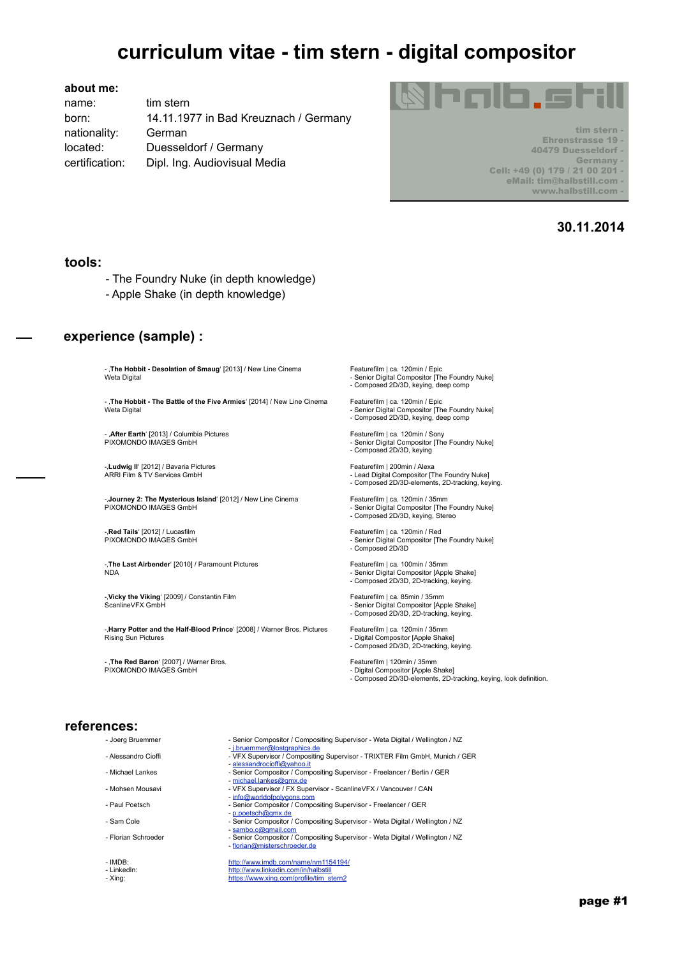#### **about me:**

name: tim stern born: 14.11.1977 in Bad Kreuznach / Germany nationality: German located: Duesseldorf / Germany certification: Dipl. Ing. Audiovisual Media



tim stern Ehrenstrasse 19 -40479 Duesseldorf -Germany -Cell: +49 (0) 179 / 21 00 201 eMail: tim@halbstill.com www.halbstill.com -

## **30.11.2014**

#### **tools:**

- The Foundry Nuke (in depth knowledge)
- Apple Shake (in depth knowledge)

## **experience (sample) :**

- **The Hobbit - Desolation of Smaug**' [2013] / New Line Cinema Featurefilm | ca. 120min / Epic

- '**The Hobbit - The Battle of the Five Armies**' [2014] / New Line Cinema Featurefilm | ca. 120min / Epic

- **After Earth'** [2013] / Columbia Pictures **Featurefilm | ca. 120min / Sony**<br>PIXOMONDO IMAGES GmbH **Fickle Feature Film Interventsional Feature Film Interventsion (The** 

-L**udwig II'** [2012] / Bavaria Pictures **Featurefilm | 200min / Alexa**<br>ARRI Film & TV Services GmbH **Facture Feature Feature Featurefilm | 200min / Alexa** 

-'**Journey 2: The Mysterious Island**' [2012] / New Line Cinema Featurefilm | ca. 120min / 35mm PIXOMONDO IMAGES GmbH - Senior Digital Compositor [The Foundry Nuke]

-**Red Tails**' [2012] / Lucasfilm **Featurefilm | ca. 120min / Red | Reduce** | Red | Reduced | Reduced | Reduced | Reduced | Reduced | Reduced | Reduced | Reduced | Reduced | Reduced | Reduced | Reduced | Reduced | Reduced |

-The Last Airbender' [2010] / Paramount Pictures Featurefilm | ca. 100min / 35mm

-**Vicky the Viking'** [2009] / Constantin Film **Film Featurefilm | ca. 85min / 35mm**<br>ScanlineVFX GmbH **Film Intervention Constanting Constanting Constanting Constanting Constanting Constanting Cons** 

-'**Harry Potter and the Half-Blood Prince**' [2008] / Warner Bros. Pictures Featurefilm | ca. 120min / 35mm

- '**The Red Baron**' [2007] / Warner Bros. Featurefilm | 120min / 35mm PIXOMONDO IMAGES GmbH - Digital Compositor [Apple Shake]

Weta Digital - Senior Digital Compositor [The Foundry Nuke] - Composed 2D/3D, keying, deep comp

Weta Digital - Senior Digital Compositor [The Foundry Nuke] - Composed 2D/3D, keying, deep comp

- Senior Digital Compositor [The Foundry Nuke] - Composed 2D/3D, keying

Lead Digital Compositor [The Foundry Nuke] - Composed 2D/3D-elements, 2D-tracking, keying.

- Composed 2D/3D, keying, Stereo

- Senior Digital Compositor [The Foundry Nuke] - Composed 2D/3D

NDA - Senior Digital Compositor [Apple Shake] - Composed 2D/3D, 2D-tracking, keying.

ScanlineVFX GmbH - Senior Digital Compositor [Apple Shake] - Senior Digital Compositor [Apple Shake]<br>Composed 2D/3D, 2D-tracking, keying. -

- 
- Digital Compositor [Apple Shake] - Composed 2D/3D, 2D-tracking, keying.

- Composed 2D/3D-elements, 2D-tracking, keying, look definition.

### **references:**

- 
- 
- 
- 
- 
- 
- 
- 
- 
- Joerg Bruemmer Senior Compositor / Compositing Supervisor Weta Digital / Wellington / NZ
- j.bruemmer@lostgraphics.de\_-<br>Alessandro Cioffi VFX Supervisor / Compositing Supervisor TRIXTER Film GmbH, Munich / GER
	- [alessandrocioffi@yahoo.it](mailto:alessandrocioffi@yahoo.it)<br>- Michael I ankes<br>- Senior Compositor / Comp **Senior Compositor / Compositing Supervisor - Freelancer / Berlin / GER**
	- [michael.lankes@gmx.de](mailto:michael.lankes@gmx.de)<br>michael.lankes@gmx.de<br>VFX Supervisor / FX Supervisor VFX Supervisor -
		- VFX Supervisor / FX Supervisor ScanlineVFX / Vancouver / CAN
	- [info@worldofpolygons.com](mailto:info@worldofpolygons.com?subject=)<br>- Paul Poetsch Senior Compositor / Compo<br>- Senior Compositor / Compo - Senior Compositor / Compositing Supervisor - Freelancer / GER
	- [p.poetsch@gmx.de](mailto:p.poetsch@gmx.de) - Sam Cole **- Senior Compositor / Compositing Supervisor - Weta Digital / Wellington / NZ**
	- [sambo.c@gmail.com](mailto:sambo.c@gmail.com?subject=)<br>- Florian Schroeder<br>- Senior Compositor / C
- Florian Schroeder  **Senior Compositor / Compositing Supervisor** Weta Digital / Wellington / NZ -<br>Florian@misterschroeder.de

- IMDB:<br> <http://www.imdb.com/name/nm1154194/><br>
http://www.linkedin.com/in/halbstill <http://www.linkedin.com/in/halbstill> - Xing: [https://www.xing.com/profile/tim\\_stern2](https://www.xing.com/profile/tim_stern2)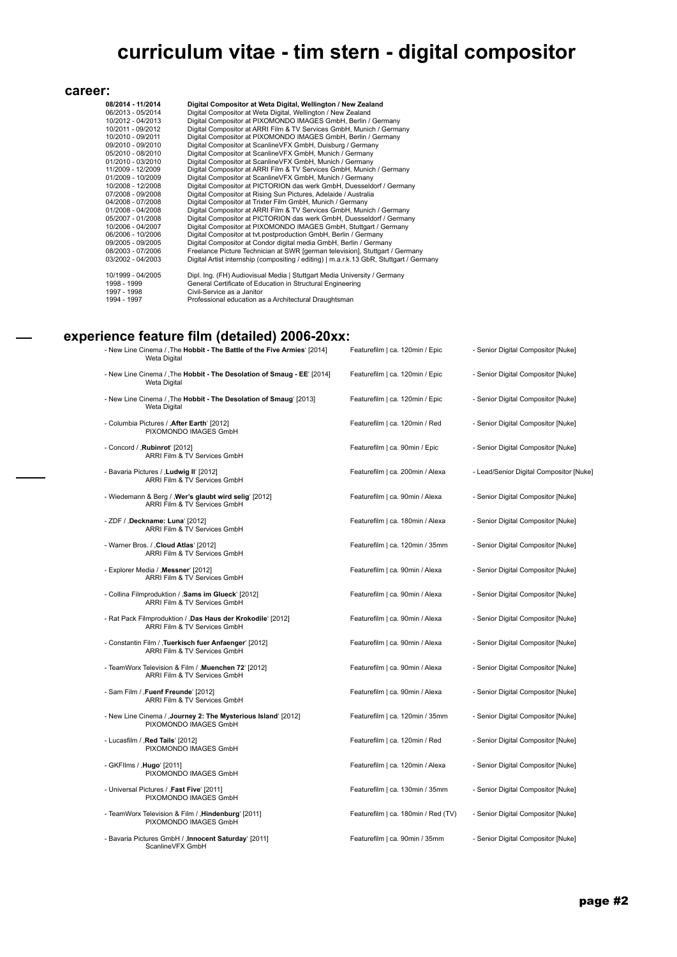$\overline{\phantom{a}}$ 

| career:           |                                                                                         |
|-------------------|-----------------------------------------------------------------------------------------|
| 08/2014 - 11/2014 | Digital Compositor at Weta Digital, Wellington / New Zealand                            |
| 06/2013 - 05/2014 | Digital Compositor at Weta Digital, Wellington / New Zealand                            |
| 10/2012 - 04/2013 | Digital Compositor at PIXOMONDO IMAGES GmbH, Berlin / Germany                           |
| 10/2011 - 09/2012 | Digital Compositor at ARRI Film & TV Services GmbH, Munich / Germany                    |
| 10/2010 - 09/2011 | Digital Compositor at PIXOMONDO IMAGES GmbH, Berlin / Germany                           |
| 09/2010 - 09/2010 | Digital Compositor at ScanlineVFX GmbH, Duisburg / Germany                              |
| 05/2010 - 08/2010 | Digital Compositor at ScanlineVFX GmbH, Munich / Germany                                |
| 01/2010 - 03/2010 | Digital Compositor at ScanlineVFX GmbH, Munich / Germany                                |
| 11/2009 - 12/2009 | Digital Compositor at ARRI Film & TV Services GmbH, Munich / Germany                    |
| 01/2009 - 10/2009 | Digital Compositor at ScanlineVFX GmbH, Munich / Germany                                |
| 10/2008 - 12/2008 | Digital Compositor at PICTORION das werk GmbH, Duesseldorf / Germany                    |
| 07/2008 - 09/2008 | Digital Compositor at Rising Sun Pictures, Adelaide / Australia                         |
| 04/2008 - 07/2008 | Digital Compositor at Trixter Film GmbH, Munich / Germany                               |
| 01/2008 - 04/2008 | Digital Compositor at ARRI Film & TV Services GmbH, Munich / Germany                    |
| 05/2007 - 01/2008 | Digital Compositor at PICTORION das werk GmbH, Duesseldorf / Germany                    |
| 10/2006 - 04/2007 | Digital Compositor at PIXOMONDO IMAGES GmbH, Stuttgart / Germany                        |
| 06/2006 - 10/2006 | Digital Compositor at tvt.postproduction GmbH, Berlin / Germany                         |
| 09/2005 - 09/2005 | Digital Compositor at Condor digital media GmbH, Berlin / Germany                       |
| 08/2003 - 07/2006 | Freelance Picture Technician at SWR [german television], Stuttgart / Germany            |
| 03/2002 - 04/2003 | Digital Artist internship (compositing / editing)   m.a.r.k.13 GbR, Stuttgart / Germany |
| 10/1999 - 04/2005 | Dipl. Ing. (FH) Audiovisual Media   Stuttgart Media University / Germany                |
| 1998 - 1999       | General Certificate of Education in Structural Engineering                              |
| 1997 - 1998       | Civil-Service as a Janitor                                                              |
| 1994 - 1997       | Professional education as a Architectural Draughtsman                                   |

## **experience feature film (detailed) 2006-20xx:**

| - New Line Cinema / , The Hobbit - The Battle of the Five Armies' [2014]<br>Weta Digital     | Featurefilm   ca. 120min / Epic     | - Senior Digital Compositor [Nuke]      |
|----------------------------------------------------------------------------------------------|-------------------------------------|-----------------------------------------|
| - New Line Cinema / The Hobbit - The Desolation of Smaug - EE' [2014]<br>Weta Digital        | Featurefilm   ca. 120min / Epic     | - Senior Digital Compositor [Nuke]      |
| - New Line Cinema / , The Hobbit - The Desolation of Smaug' [2013]<br><b>Weta Digital</b>    | Featurefilm   ca. 120min / Epic     | - Senior Digital Compositor [Nuke]      |
| - Columbia Pictures / , After Earth' [2012]<br>PIXOMONDO IMAGES GmbH                         | Featurefilm   ca. 120min / Red      | - Senior Digital Compositor [Nuke]      |
| - Concord / , Rubinrot [2012]<br>ARRI Film & TV Services GmbH                                | Featurefilm   ca. 90min / Epic      | - Senior Digital Compositor [Nuke]      |
| - Bavaria Pictures / , Ludwig II' [2012]<br>ARRI Film & TV Services GmbH                     | Featurefilm   ca. 200min / Alexa    | - Lead/Senior Digital Compositor [Nuke] |
| - Wiedemann & Berg / , Wer's glaubt wird selig' [2012]<br>ARRI Film & TV Services GmbH       | Featurefilm   ca. 90min / Alexa     | - Senior Digital Compositor [Nuke]      |
| - ZDF / ,Deckname: Luna' [2012]<br>ARRI Film & TV Services GmbH                              | Featurefilm   ca. 180min / Alexa    | - Senior Digital Compositor [Nuke]      |
| - Warner Bros. / , Cloud Atlas' [2012]<br>ARRI Film & TV Services GmbH                       | Featurefilm   ca. 120min / 35mm     | - Senior Digital Compositor [Nuke]      |
| - Explorer Media / , Messner' [2012]<br>ARRI Film & TV Services GmbH                         | Featurefilm   ca. 90min / Alexa     | - Senior Digital Compositor [Nuke]      |
| - Collina Filmproduktion / , Sams im Glueck' [2012]<br>ARRI Film & TV Services GmbH          | Featurefilm   ca. 90min / Alexa     | - Senior Digital Compositor [Nuke]      |
| - Rat Pack Filmproduktion / , Das Haus der Krokodile' [2012]<br>ARRI Film & TV Services GmbH | Featurefilm   ca. 90min / Alexa     | - Senior Digital Compositor [Nuke]      |
| - Constantin Film / ,Tuerkisch fuer Anfaenger' [2012]<br>ARRI Film & TV Services GmbH        | Featurefilm   ca. 90min / Alexa     | - Senior Digital Compositor [Nuke]      |
| - TeamWorx Television & Film / , Muenchen 72' [2012]<br>ARRI Film & TV Services GmbH         | Featurefilm   ca. 90min / Alexa     | - Senior Digital Compositor [Nuke]      |
| - Sam Film / , Fuenf Freunde' [2012]<br>ARRI Film & TV Services GmbH                         | Featurefilm   ca. 90min / Alexa     | - Senior Digital Compositor [Nuke]      |
| - New Line Cinema / , Journey 2: The Mysterious Island [2012]<br>PIXOMONDO IMAGES GmbH       | Featurefilm   ca. 120min / 35mm     | - Senior Digital Compositor [Nuke]      |
| - Lucasfilm / , Red Tails' [2012]<br>PIXOMONDO IMAGES GmbH                                   | Featurefilm   ca. 120min / Red      | - Senior Digital Compositor [Nuke]      |
| - GKFIlms / , Hugo' [2011]<br>PIXOMONDO IMAGES GmbH                                          | Featurefilm   ca. 120min / Alexa    | - Senior Digital Compositor [Nuke]      |
| - Universal Pictures / , Fast Five' [2011]<br>PIXOMONDO IMAGES GmbH                          | Featurefilm   ca. 130min / 35mm     | - Senior Digital Compositor [Nuke]      |
| - TeamWorx Television & Film / , Hindenburg' [2011]<br>PIXOMONDO IMAGES GmbH                 | Featurefilm   ca. 180min / Red (TV) | - Senior Digital Compositor [Nuke]      |
| - Bavaria Pictures GmbH / , Innocent Saturday' [2011]<br>ScanlineVFX GmbH                    | Featurefilm   ca. 90min / 35mm      | - Senior Digital Compositor [Nuke]      |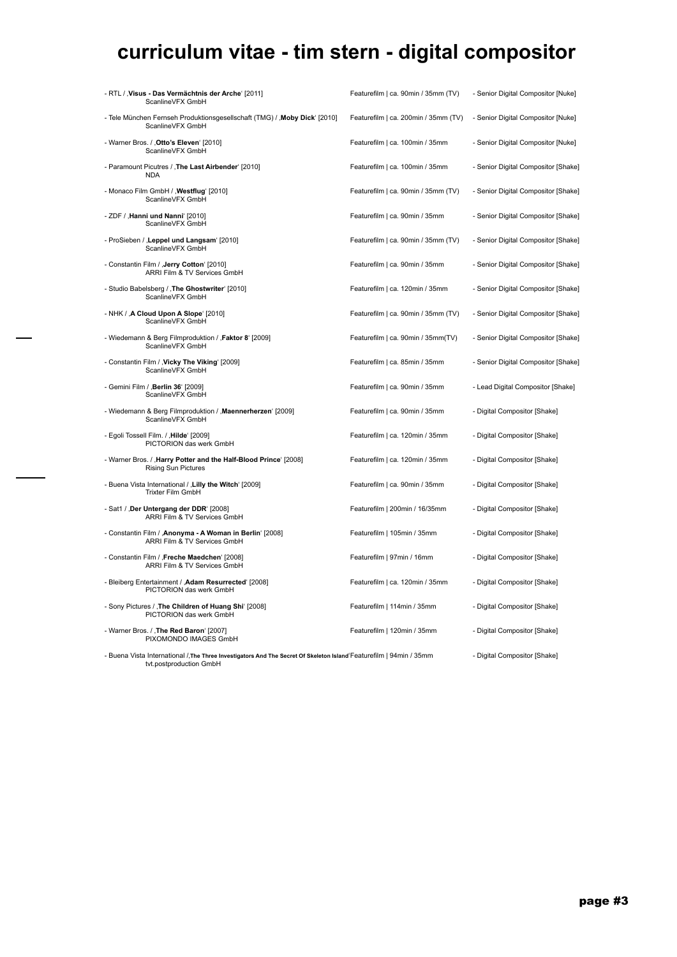| - RTL / Visus - Das Vermächtnis der Arche' [2011]<br>ScanlineVFX GmbH                                                                         | Featurefilm   ca. 90min / 35mm (TV)  | - Senior Digital Compositor [Nuke]  |
|-----------------------------------------------------------------------------------------------------------------------------------------------|--------------------------------------|-------------------------------------|
| - Tele München Fernseh Produktionsgesellschaft (TMG) / , Moby Dick' [2010]<br>ScanlineVFX GmbH                                                | Featurefilm   ca. 200min / 35mm (TV) | - Senior Digital Compositor [Nuke]  |
| - Warner Bros. / , Otto's Eleven' [2010]<br>ScanlineVFX GmbH                                                                                  | Featurefilm   ca. 100min / 35mm      | - Senior Digital Compositor [Nuke]  |
| - Paramount Picutres / , The Last Airbender' [2010]<br><b>NDA</b>                                                                             | Featurefilm   ca. 100min / 35mm      | - Senior Digital Compositor [Shake] |
| - Monaco Film GmbH / , Westflug' [2010]<br>ScanlineVFX GmbH                                                                                   | Featurefilm   ca. 90min / 35mm (TV)  | - Senior Digital Compositor [Shake] |
| - ZDF / , Hanni und Nanni' [2010]<br>ScanlineVFX GmbH                                                                                         | Featurefilm   ca. 90min / 35mm       | - Senior Digital Compositor [Shake] |
| - ProSieben / , Leppel und Langsam [2010]<br>ScanlineVFX GmbH                                                                                 | Featurefilm   ca. 90min / 35mm (TV)  | - Senior Digital Compositor [Shake] |
| - Constantin Film / , Jerry Cotton' [2010]<br>ARRI Film & TV Services GmbH                                                                    | Featurefilm   ca. 90min / 35mm       | - Senior Digital Compositor [Shake] |
| - Studio Babelsberg / , The Ghostwriter' [2010]<br>ScanlineVFX GmbH                                                                           | Featurefilm   ca. 120min / 35mm      | - Senior Digital Compositor [Shake] |
| - NHK / , A Cloud Upon A Slope' [2010]<br>ScanlineVFX GmbH                                                                                    | Featurefilm   ca. 90min / 35mm (TV)  | - Senior Digital Compositor [Shake] |
| - Wiedemann & Berg Filmproduktion / , Faktor 8' [2009]<br>ScanlineVFX GmbH                                                                    | Featurefilm   ca. 90min / 35mm(TV)   | - Senior Digital Compositor [Shake] |
| - Constantin Film / , Vicky The Viking' [2009]<br>ScanlineVFX GmbH                                                                            | Featurefilm   ca. 85min / 35mm       | - Senior Digital Compositor [Shake] |
| - Gemini Film / , Berlin 36' [2009]<br>ScanlineVFX GmbH                                                                                       | Featurefilm   ca. 90min / 35mm       | - Lead Digital Compositor [Shake]   |
| - Wiedemann & Berg Filmproduktion / , Maennerherzen' [2009]<br>ScanlineVFX GmbH                                                               | Featurefilm   ca. 90min / 35mm       | - Digital Compositor [Shake]        |
| - Egoli Tossell Film. / , Hilde' [2009]<br>PICTORION das werk GmbH                                                                            | Featurefilm   ca. 120min / 35mm      | - Digital Compositor [Shake]        |
| - Warner Bros. / , Harry Potter and the Half-Blood Prince' [2008]<br><b>Rising Sun Pictures</b>                                               | Featurefilm   ca. 120min / 35mm      | - Digital Compositor [Shake]        |
| - Buena Vista International / , Lilly the Witch' [2009]<br>Trixter Film GmbH                                                                  | Featurefilm   ca. 90min / 35mm       | - Digital Compositor [Shake]        |
| - Sat1 / , Der Untergang der DDR' [2008]<br>ARRI Film & TV Services GmbH                                                                      | Featurefilm   200min / 16/35mm       | - Digital Compositor [Shake]        |
| - Constantin Film / , Anonyma - A Woman in Berlin' [2008]<br>ARRI Film & TV Services GmbH                                                     | Featurefilm   105min / 35mm          | - Digital Compositor [Shake]        |
| - Constantin Film / , Freche Maedchen' [2008]<br>ARRI Film & TV Services GmbH                                                                 | Featurefilm   97min / 16mm           | - Digital Compositor [Shake]        |
| - Bleiberg Entertainment / , Adam Resurrected' [2008]<br>PICTORION das werk GmbH                                                              | Featurefilm   ca. 120min / 35mm      | - Digital Compositor [Shake]        |
| - Sony Pictures / The Children of Huang Shi' [2008]<br>PICTORION das werk GmbH                                                                | Featurefilm   114min / 35mm          | - Digital Compositor [Shake]        |
| - Warner Bros. / , The Red Baron' [2007]<br>PIXOMONDO IMAGES GmbH                                                                             | Featurefilm   120min / 35mm          | - Digital Compositor [Shake]        |
| - Buena Vista International /,The Three Investigators And The Secret Of Skeleton Island Featurefilm   94min / 35mm<br>tvt.postproduction GmbH |                                      | - Digital Compositor [Shake]        |